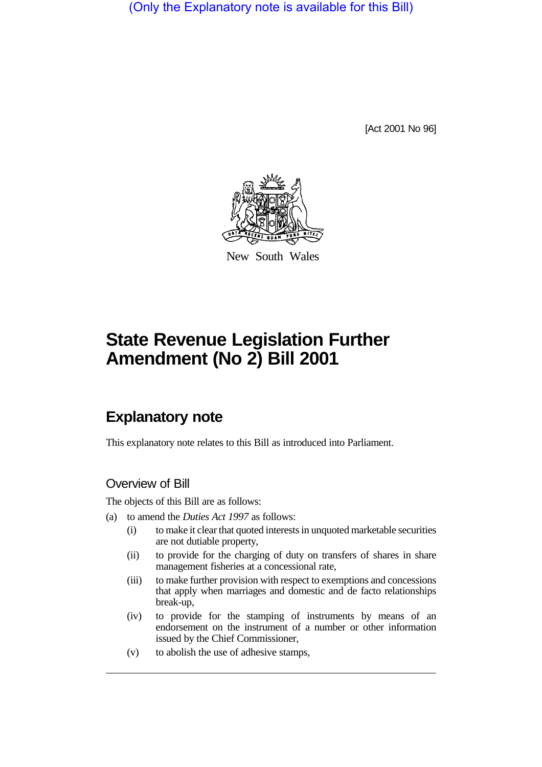(Only the Explanatory note is available for this Bill)

[Act 2001 No 96]



New South Wales

# **State Revenue Legislation Further Amendment (No 2) Bill 2001**

## **Explanatory note**

This explanatory note relates to this Bill as introduced into Parliament.

## Overview of Bill

The objects of this Bill are as follows:

- (a) to amend the *Duties Act 1997* as follows:
	- (i) to make it clear that quoted interests in unquoted marketable securities are not dutiable property,
	- (ii) to provide for the charging of duty on transfers of shares in share management fisheries at a concessional rate,
	- (iii) to make further provision with respect to exemptions and concessions that apply when marriages and domestic and de facto relationships break-up,
	- (iv) to provide for the stamping of instruments by means of an endorsement on the instrument of a number or other information issued by the Chief Commissioner,
	- (v) to abolish the use of adhesive stamps,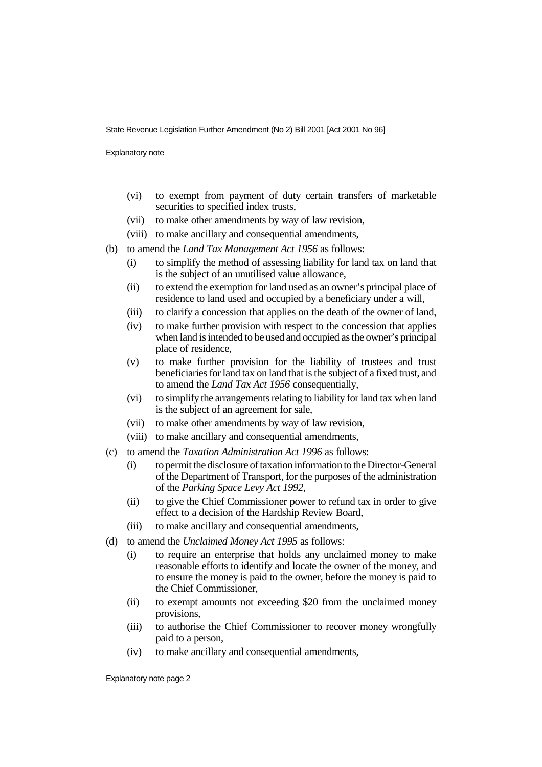Explanatory note

- (vi) to exempt from payment of duty certain transfers of marketable securities to specified index trusts,
- (vii) to make other amendments by way of law revision,
- (viii) to make ancillary and consequential amendments,
- (b) to amend the *Land Tax Management Act 1956* as follows:
	- (i) to simplify the method of assessing liability for land tax on land that is the subject of an unutilised value allowance,
	- (ii) to extend the exemption for land used as an owner's principal place of residence to land used and occupied by a beneficiary under a will,
	- (iii) to clarify a concession that applies on the death of the owner of land,
	- (iv) to make further provision with respect to the concession that applies when land is intended to be used and occupied as the owner's principal place of residence,
	- (v) to make further provision for the liability of trustees and trust beneficiaries for land tax on land that is the subject of a fixed trust, and to amend the *Land Tax Act 1956* consequentially,
	- (vi) to simplify the arrangements relating to liability for land tax when land is the subject of an agreement for sale,
	- (vii) to make other amendments by way of law revision,
	- (viii) to make ancillary and consequential amendments,
- (c) to amend the *Taxation Administration Act 1996* as follows:
	- (i) to permit the disclosure of taxation information to the Director-General of the Department of Transport, for the purposes of the administration of the *Parking Space Levy Act 1992*,
	- (ii) to give the Chief Commissioner power to refund tax in order to give effect to a decision of the Hardship Review Board,
	- (iii) to make ancillary and consequential amendments,
- (d) to amend the *Unclaimed Money Act 1995* as follows:
	- (i) to require an enterprise that holds any unclaimed money to make reasonable efforts to identify and locate the owner of the money, and to ensure the money is paid to the owner, before the money is paid to the Chief Commissioner,
	- (ii) to exempt amounts not exceeding \$20 from the unclaimed money provisions,
	- (iii) to authorise the Chief Commissioner to recover money wrongfully paid to a person,
	- (iv) to make ancillary and consequential amendments,

Explanatory note page 2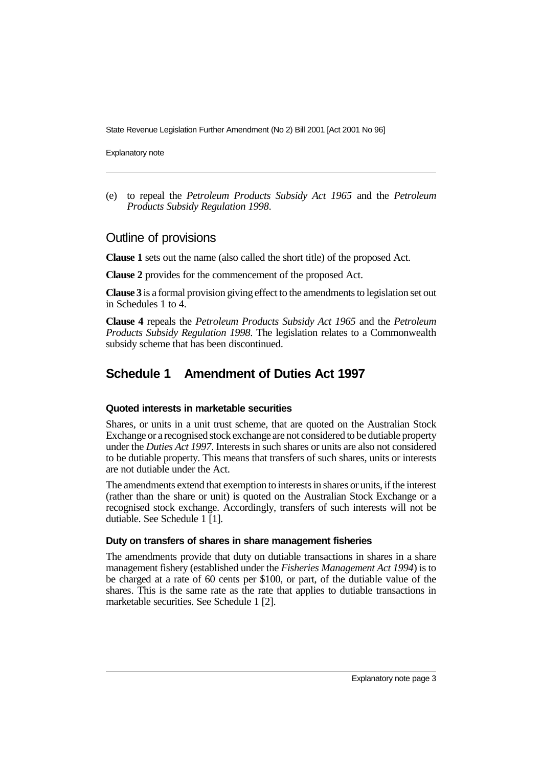Explanatory note

(e) to repeal the *Petroleum Products Subsidy Act 1965* and the *Petroleum Products Subsidy Regulation 1998*.

#### Outline of provisions

**Clause 1** sets out the name (also called the short title) of the proposed Act.

**Clause 2** provides for the commencement of the proposed Act.

**Clause 3** is a formal provision giving effect to the amendments to legislation set out in Schedules 1 to 4.

**Clause 4** repeals the *Petroleum Products Subsidy Act 1965* and the *Petroleum Products Subsidy Regulation 1998*. The legislation relates to a Commonwealth subsidy scheme that has been discontinued.

## **Schedule 1 Amendment of Duties Act 1997**

#### **Quoted interests in marketable securities**

Shares, or units in a unit trust scheme, that are quoted on the Australian Stock Exchange or a recognised stock exchange are not considered to be dutiable property under the *Duties Act 1997*. Interests in such shares or units are also not considered to be dutiable property. This means that transfers of such shares, units or interests are not dutiable under the Act.

The amendments extend that exemption to interests in shares or units, if the interest (rather than the share or unit) is quoted on the Australian Stock Exchange or a recognised stock exchange. Accordingly, transfers of such interests will not be dutiable. See Schedule 1 [1].

#### **Duty on transfers of shares in share management fisheries**

The amendments provide that duty on dutiable transactions in shares in a share management fishery (established under the *Fisheries Management Act 1994*) is to be charged at a rate of 60 cents per \$100, or part, of the dutiable value of the shares. This is the same rate as the rate that applies to dutiable transactions in marketable securities. See Schedule 1 [2].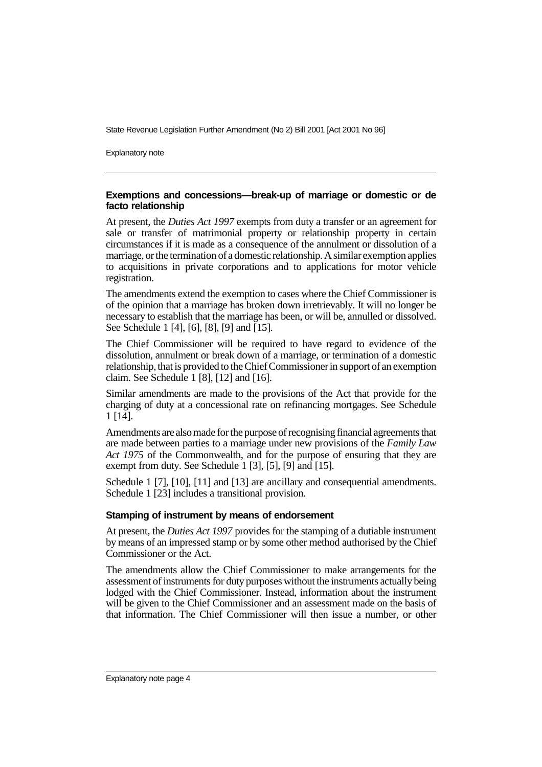Explanatory note

#### **Exemptions and concessions—break-up of marriage or domestic or de facto relationship**

At present, the *Duties Act 1997* exempts from duty a transfer or an agreement for sale or transfer of matrimonial property or relationship property in certain circumstances if it is made as a consequence of the annulment or dissolution of a marriage, or the termination of a domestic relationship. A similar exemption applies to acquisitions in private corporations and to applications for motor vehicle registration.

The amendments extend the exemption to cases where the Chief Commissioner is of the opinion that a marriage has broken down irretrievably. It will no longer be necessary to establish that the marriage has been, or will be, annulled or dissolved. See Schedule 1 [4], [6], [8], [9] and [15].

The Chief Commissioner will be required to have regard to evidence of the dissolution, annulment or break down of a marriage, or termination of a domestic relationship, that is provided to the Chief Commissioner in support of an exemption claim. See Schedule 1 [8], [12] and [16].

Similar amendments are made to the provisions of the Act that provide for the charging of duty at a concessional rate on refinancing mortgages. See Schedule 1 [14].

Amendments are also made for the purpose of recognising financial agreements that are made between parties to a marriage under new provisions of the *Family Law Act 1975* of the Commonwealth, and for the purpose of ensuring that they are exempt from duty. See Schedule 1 [3], [5], [9] and [15].

Schedule 1 [7], [10], [11] and [13] are ancillary and consequential amendments. Schedule 1 [23] includes a transitional provision.

#### **Stamping of instrument by means of endorsement**

At present, the *Duties Act 1997* provides for the stamping of a dutiable instrument by means of an impressed stamp or by some other method authorised by the Chief Commissioner or the Act.

The amendments allow the Chief Commissioner to make arrangements for the assessment of instruments for duty purposes without the instruments actually being lodged with the Chief Commissioner. Instead, information about the instrument will be given to the Chief Commissioner and an assessment made on the basis of that information. The Chief Commissioner will then issue a number, or other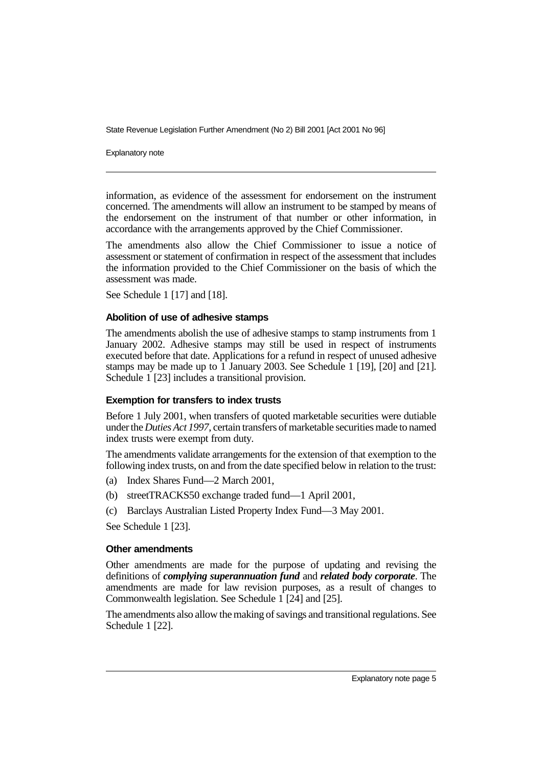Explanatory note

information, as evidence of the assessment for endorsement on the instrument concerned. The amendments will allow an instrument to be stamped by means of the endorsement on the instrument of that number or other information, in accordance with the arrangements approved by the Chief Commissioner.

The amendments also allow the Chief Commissioner to issue a notice of assessment or statement of confirmation in respect of the assessment that includes the information provided to the Chief Commissioner on the basis of which the assessment was made.

See Schedule 1 [17] and [18].

#### **Abolition of use of adhesive stamps**

The amendments abolish the use of adhesive stamps to stamp instruments from 1 January 2002. Adhesive stamps may still be used in respect of instruments executed before that date. Applications for a refund in respect of unused adhesive stamps may be made up to 1 January 2003. See Schedule 1 [19], [20] and [21]. Schedule 1 [23] includes a transitional provision.

#### **Exemption for transfers to index trusts**

Before 1 July 2001, when transfers of quoted marketable securities were dutiable under the *Duties Act 1997*, certain transfers of marketable securities made to named index trusts were exempt from duty.

The amendments validate arrangements for the extension of that exemption to the following index trusts, on and from the date specified below in relation to the trust:

- (a) Index Shares Fund—2 March 2001,
- (b) streetTRACKS50 exchange traded fund—1 April 2001,
- (c) Barclays Australian Listed Property Index Fund—3 May 2001.

See Schedule 1 [23].

#### **Other amendments**

Other amendments are made for the purpose of updating and revising the definitions of *complying superannuation fund* and *related body corporate*. The amendments are made for law revision purposes, as a result of changes to Commonwealth legislation. See Schedule  $1$  [24] and [25].

The amendments also allow the making of savings and transitional regulations. See Schedule 1 [22].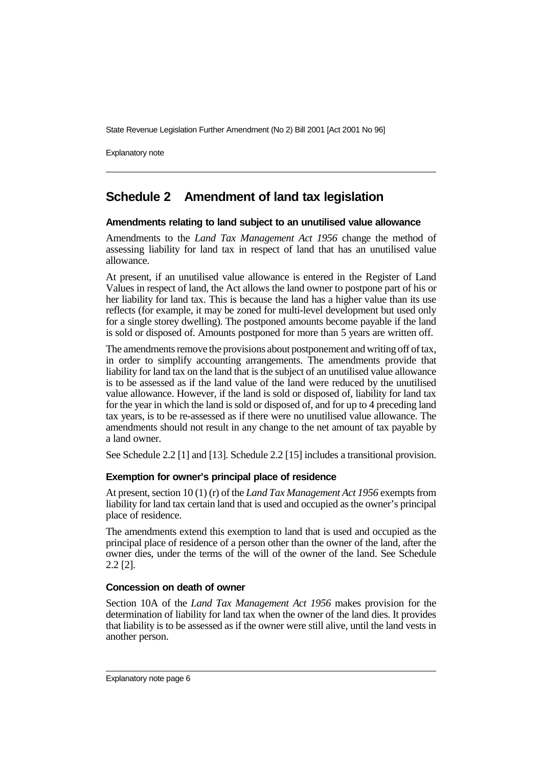Explanatory note

## **Schedule 2 Amendment of land tax legislation**

#### **Amendments relating to land subject to an unutilised value allowance**

Amendments to the *Land Tax Management Act 1956* change the method of assessing liability for land tax in respect of land that has an unutilised value allowance.

At present, if an unutilised value allowance is entered in the Register of Land Values in respect of land, the Act allows the land owner to postpone part of his or her liability for land tax. This is because the land has a higher value than its use reflects (for example, it may be zoned for multi-level development but used only for a single storey dwelling). The postponed amounts become payable if the land is sold or disposed of. Amounts postponed for more than 5 years are written off.

The amendments remove the provisions about postponement and writing off of tax, in order to simplify accounting arrangements. The amendments provide that liability for land tax on the land that is the subject of an unutilised value allowance is to be assessed as if the land value of the land were reduced by the unutilised value allowance. However, if the land is sold or disposed of, liability for land tax for the year in which the land is sold or disposed of, and for up to 4 preceding land tax years, is to be re-assessed as if there were no unutilised value allowance. The amendments should not result in any change to the net amount of tax payable by a land owner.

See Schedule 2.2 [1] and [13]. Schedule 2.2 [15] includes a transitional provision.

#### **Exemption for owner's principal place of residence**

At present, section 10 (1) (r) of the *Land Tax Management Act 1956* exempts from liability for land tax certain land that is used and occupied as the owner's principal place of residence.

The amendments extend this exemption to land that is used and occupied as the principal place of residence of a person other than the owner of the land, after the owner dies, under the terms of the will of the owner of the land. See Schedule 2.2 [2].

#### **Concession on death of owner**

Section 10A of the *Land Tax Management Act 1956* makes provision for the determination of liability for land tax when the owner of the land dies. It provides that liability is to be assessed as if the owner were still alive, until the land vests in another person.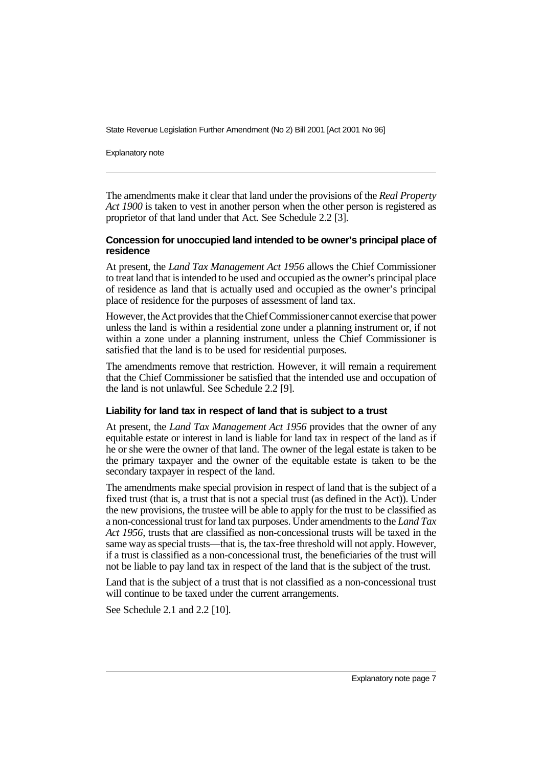Explanatory note

The amendments make it clear that land under the provisions of the *Real Property Act 1900* is taken to vest in another person when the other person is registered as proprietor of that land under that Act. See Schedule 2.2 [3].

#### **Concession for unoccupied land intended to be owner's principal place of residence**

At present, the *Land Tax Management Act 1956* allows the Chief Commissioner to treat land that is intended to be used and occupied as the owner's principal place of residence as land that is actually used and occupied as the owner's principal place of residence for the purposes of assessment of land tax.

However, the Act provides that the Chief Commissioner cannot exercise that power unless the land is within a residential zone under a planning instrument or, if not within a zone under a planning instrument, unless the Chief Commissioner is satisfied that the land is to be used for residential purposes.

The amendments remove that restriction. However, it will remain a requirement that the Chief Commissioner be satisfied that the intended use and occupation of the land is not unlawful. See Schedule 2.2 [9].

#### **Liability for land tax in respect of land that is subject to a trust**

At present, the *Land Tax Management Act 1956* provides that the owner of any equitable estate or interest in land is liable for land tax in respect of the land as if he or she were the owner of that land. The owner of the legal estate is taken to be the primary taxpayer and the owner of the equitable estate is taken to be the secondary taxpayer in respect of the land.

The amendments make special provision in respect of land that is the subject of a fixed trust (that is, a trust that is not a special trust (as defined in the Act)). Under the new provisions, the trustee will be able to apply for the trust to be classified as a non-concessional trust for land tax purposes. Under amendments to the *Land Tax Act 1956*, trusts that are classified as non-concessional trusts will be taxed in the same way as special trusts—that is, the tax-free threshold will not apply. However, if a trust is classified as a non-concessional trust, the beneficiaries of the trust will not be liable to pay land tax in respect of the land that is the subject of the trust.

Land that is the subject of a trust that is not classified as a non-concessional trust will continue to be taxed under the current arrangements.

See Schedule 2.1 and 2.2 [10].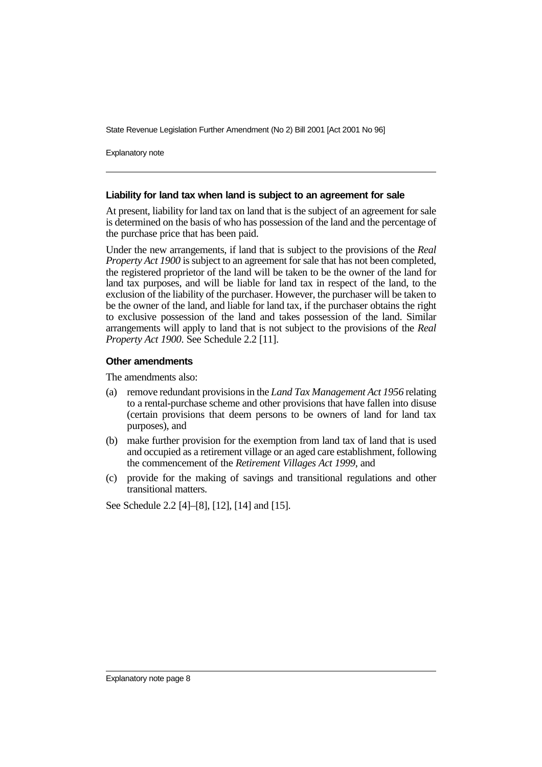Explanatory note

#### **Liability for land tax when land is subject to an agreement for sale**

At present, liability for land tax on land that is the subject of an agreement for sale is determined on the basis of who has possession of the land and the percentage of the purchase price that has been paid.

Under the new arrangements, if land that is subject to the provisions of the *Real Property Act 1900* is subject to an agreement for sale that has not been completed, the registered proprietor of the land will be taken to be the owner of the land for land tax purposes, and will be liable for land tax in respect of the land, to the exclusion of the liability of the purchaser. However, the purchaser will be taken to be the owner of the land, and liable for land tax, if the purchaser obtains the right to exclusive possession of the land and takes possession of the land. Similar arrangements will apply to land that is not subject to the provisions of the *Real Property Act 1900*. See Schedule 2.2 [11].

#### **Other amendments**

The amendments also:

- (a) remove redundant provisions in the *Land Tax Management Act 1956* relating to a rental-purchase scheme and other provisions that have fallen into disuse (certain provisions that deem persons to be owners of land for land tax purposes), and
- (b) make further provision for the exemption from land tax of land that is used and occupied as a retirement village or an aged care establishment, following the commencement of the *Retirement Villages Act 1999*, and
- (c) provide for the making of savings and transitional regulations and other transitional matters.

See Schedule 2.2 [4]–[8], [12], [14] and [15].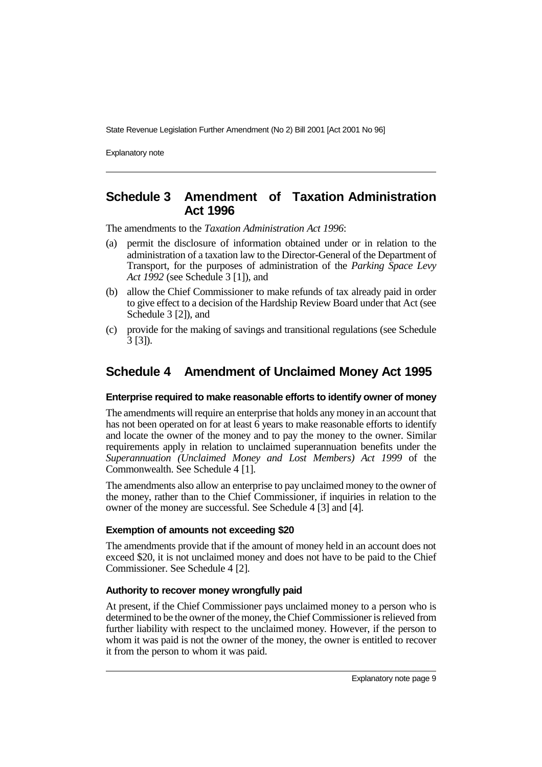Explanatory note

## **Schedule 3 Amendment of Taxation Administration Act 1996**

The amendments to the *Taxation Administration Act 1996*:

- (a) permit the disclosure of information obtained under or in relation to the administration of a taxation law to the Director-General of the Department of Transport, for the purposes of administration of the *Parking Space Levy Act 1992* (see Schedule 3 [1]), and
- (b) allow the Chief Commissioner to make refunds of tax already paid in order to give effect to a decision of the Hardship Review Board under that Act (see Schedule 3 [2]), and
- (c) provide for the making of savings and transitional regulations (see Schedule 3 [3]).

## **Schedule 4 Amendment of Unclaimed Money Act 1995**

#### **Enterprise required to make reasonable efforts to identify owner of money**

The amendments will require an enterprise that holds any money in an account that has not been operated on for at least  $\vec{6}$  years to make reasonable efforts to identify and locate the owner of the money and to pay the money to the owner. Similar requirements apply in relation to unclaimed superannuation benefits under the *Superannuation (Unclaimed Money and Lost Members) Act 1999* of the Commonwealth. See Schedule 4 [1].

The amendments also allow an enterprise to pay unclaimed money to the owner of the money, rather than to the Chief Commissioner, if inquiries in relation to the owner of the money are successful. See Schedule 4 [3] and [4].

#### **Exemption of amounts not exceeding \$20**

The amendments provide that if the amount of money held in an account does not exceed \$20, it is not unclaimed money and does not have to be paid to the Chief Commissioner. See Schedule 4 [2].

#### **Authority to recover money wrongfully paid**

At present, if the Chief Commissioner pays unclaimed money to a person who is determined to be the owner of the money, the Chief Commissioner is relieved from further liability with respect to the unclaimed money. However, if the person to whom it was paid is not the owner of the money, the owner is entitled to recover it from the person to whom it was paid.